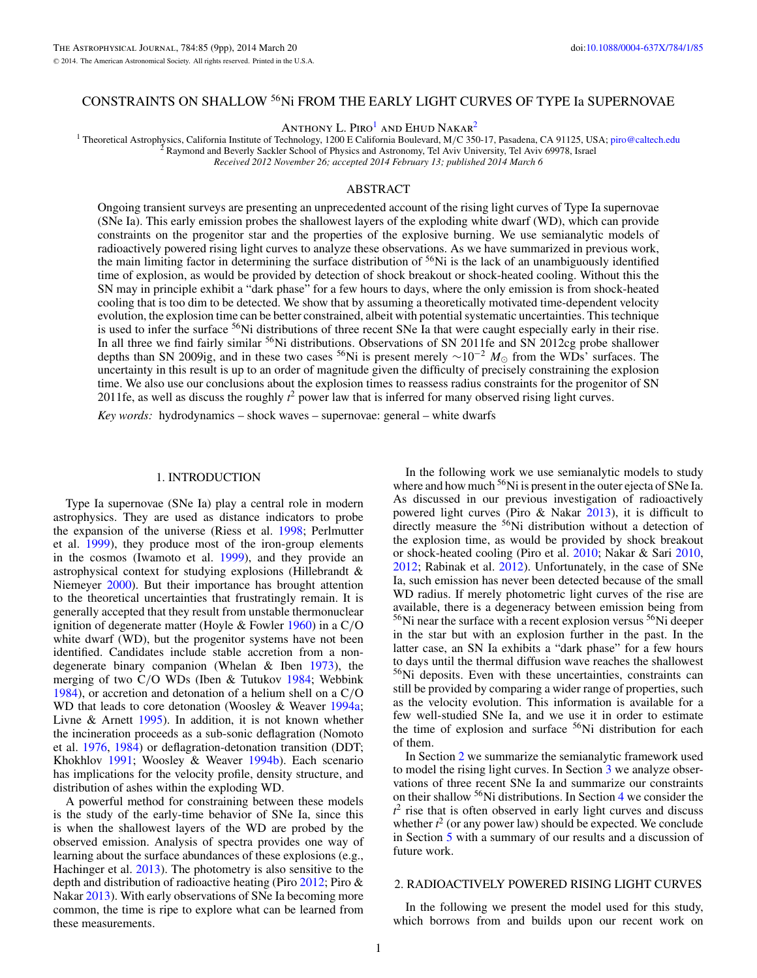# <span id="page-0-0"></span>CONSTRAINTS ON SHALLOW 56Ni FROM THE EARLY LIGHT CURVES OF TYPE Ia SUPERNOVAE

ANTHONY L. PIRO<sup>1</sup> AND EHUD NAKAR<sup>2</sup>

<sup>1</sup> Theoretical Astrophysics, California Institute of Technology, 1200 E California Boulevard, M/C 350-17, Pasadena, CA 91125, USA; [piro@caltech.edu](mailto:piro@caltech.edu) <sup>2</sup> Raymond and Beverly Sackler School of Physics and Astronomy, Tel Aviv

*Received 2012 November 26; accepted 2014 February 13; published 2014 March 6*

## ABSTRACT

Ongoing transient surveys are presenting an unprecedented account of the rising light curves of Type Ia supernovae (SNe Ia). This early emission probes the shallowest layers of the exploding white dwarf (WD), which can provide constraints on the progenitor star and the properties of the explosive burning. We use semianalytic models of radioactively powered rising light curves to analyze these observations. As we have summarized in previous work, the main limiting factor in determining the surface distribution of  ${}^{56}$ Ni is the lack of an unambiguously identified time of explosion, as would be provided by detection of shock breakout or shock-heated cooling. Without this the SN may in principle exhibit a "dark phase" for a few hours to days, where the only emission is from shock-heated cooling that is too dim to be detected. We show that by assuming a theoretically motivated time-dependent velocity evolution, the explosion time can be better constrained, albeit with potential systematic uncertainties. This technique is used to infer the surface <sup>56</sup>Ni distributions of three recent SNe Ia that were caught especially early in their rise. In all three we find fairly similar <sup>56</sup>Ni distributions. Observations of SN 2011fe and SN 2012cg probe shallower depths than SN 2009ig, and in these two cases <sup>56</sup>Ni is present merely ~10<sup>-2</sup> *M*<sub>☉</sub> from the WDs' surfaces. The uncertainty in this result is up to an order of magnitude given the difficulty of precisely constraining the explosion time. We also use our conclusions about the explosion times to reassess radius constraints for the progenitor of SN 2011fe, as well as discuss the roughly  $t^2$  power law that is inferred for many observed rising light curves.

*Key words:* hydrodynamics – shock waves – supernovae: general – white dwarfs

### 1. INTRODUCTION

Type Ia supernovae (SNe Ia) play a central role in modern astrophysics. They are used as distance indicators to probe the expansion of the universe (Riess et al. [1998;](#page-8-0) Perlmutter et al. [1999\)](#page-8-0), they produce most of the iron-group elements in the cosmos (Iwamoto et al. [1999\)](#page-8-0), and they provide an astrophysical context for studying explosions (Hillebrandt & Niemeyer [2000\)](#page-8-0). But their importance has brought attention to the theoretical uncertainties that frustratingly remain. It is generally accepted that they result from unstable thermonuclear ignition of degenerate matter (Hoyle & Fowler [1960\)](#page-8-0) in a C*/*O white dwarf (WD), but the progenitor systems have not been identified. Candidates include stable accretion from a nondegenerate binary companion (Whelan & Iben [1973\)](#page-8-0), the merging of two C*/*O WDs (Iben & Tutukov [1984;](#page-8-0) Webbink [1984\)](#page-8-0), or accretion and detonation of a helium shell on a C*/*O WD that leads to core detonation (Woosley & Weaver [1994a;](#page-8-0) Livne & Arnett [1995\)](#page-8-0). In addition, it is not known whether the incineration proceeds as a sub-sonic deflagration (Nomoto et al. [1976,](#page-8-0) [1984\)](#page-8-0) or deflagration-detonation transition (DDT; Khokhlov [1991;](#page-8-0) Woosley & Weaver [1994b\)](#page-8-0). Each scenario has implications for the velocity profile, density structure, and distribution of ashes within the exploding WD.

A powerful method for constraining between these models is the study of the early-time behavior of SNe Ia, since this is when the shallowest layers of the WD are probed by the observed emission. Analysis of spectra provides one way of learning about the surface abundances of these explosions (e.g., Hachinger et al. [2013\)](#page-8-0). The photometry is also sensitive to the depth and distribution of radioactive heating (Piro [2012;](#page-8-0) Piro & Nakar [2013\)](#page-8-0). With early observations of SNe Ia becoming more common, the time is ripe to explore what can be learned from these measurements.

In the following work we use semianalytic models to study where and how much  $56$ Ni is present in the outer ejecta of SNe Ia. As discussed in our previous investigation of radioactively powered light curves (Piro & Nakar [2013\)](#page-8-0), it is difficult to directly measure the <sup>56</sup>Ni distribution without a detection of the explosion time, as would be provided by shock breakout or shock-heated cooling (Piro et al. [2010;](#page-8-0) Nakar & Sari [2010,](#page-8-0) [2012;](#page-8-0) Rabinak et al. [2012\)](#page-8-0). Unfortunately, in the case of SNe Ia, such emission has never been detected because of the small WD radius. If merely photometric light curves of the rise are available, there is a degeneracy between emission being from  $56$ Ni near the surface with a recent explosion versus  $56$ Ni deeper in the star but with an explosion further in the past. In the latter case, an SN Ia exhibits a "dark phase" for a few hours to days until the thermal diffusion wave reaches the shallowest <sup>56</sup>Ni deposits. Even with these uncertainties, constraints can still be provided by comparing a wider range of properties, such as the velocity evolution. This information is available for a few well-studied SNe Ia, and we use it in order to estimate the time of explosion and surface <sup>56</sup>Ni distribution for each of them.

In Section 2 we summarize the semianalytic framework used to model the rising light curves. In Section [3](#page-2-0) we analyze observations of three recent SNe Ia and summarize our constraints on their shallow 56Ni distributions. In Section [4](#page-7-0) we consider the  $t<sup>2</sup>$  rise that is often observed in early light curves and discuss whether  $t^2$  (or any power law) should be expected. We conclude in Section [5](#page-8-0) with a summary of our results and a discussion of future work.

### 2. RADIOACTIVELY POWERED RISING LIGHT CURVES

In the following we present the model used for this study, which borrows from and builds upon our recent work on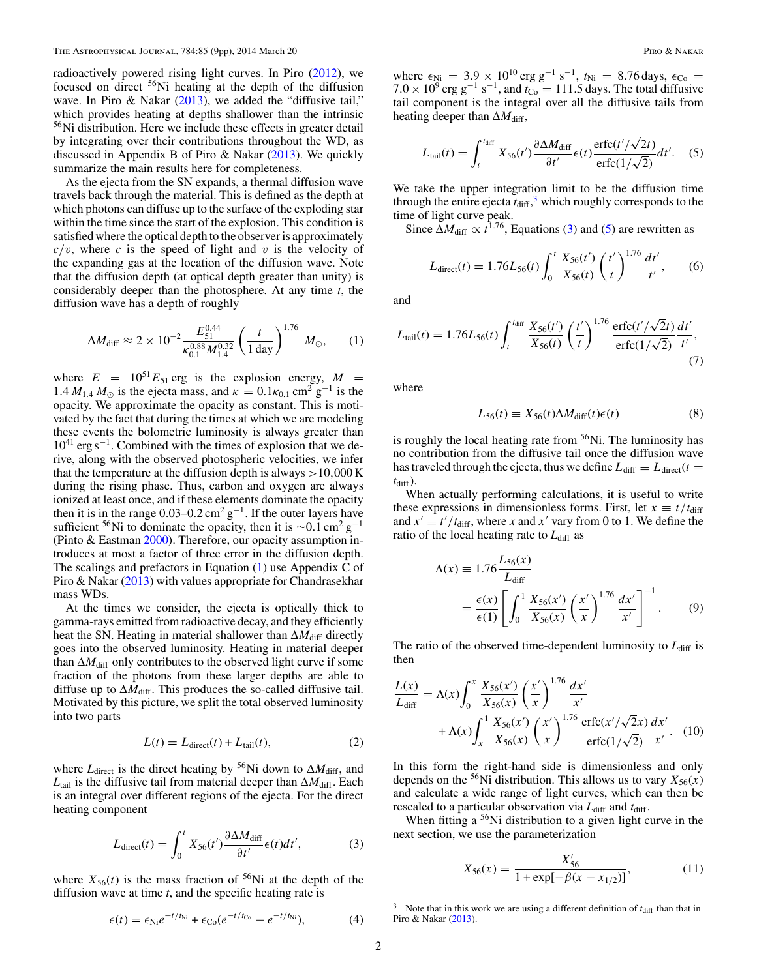<span id="page-1-0"></span>radioactively powered rising light curves. In Piro [\(2012\)](#page-8-0), we focused on direct  $56$ Ni heating at the depth of the diffusion wave. In Piro & Nakar [\(2013\)](#page-8-0), we added the "diffusive tail," which provides heating at depths shallower than the intrinsic 56Ni distribution. Here we include these effects in greater detail by integrating over their contributions throughout the WD, as discussed in Appendix B of Piro & Nakar [\(2013\)](#page-8-0). We quickly summarize the main results here for completeness.

As the ejecta from the SN expands, a thermal diffusion wave travels back through the material. This is defined as the depth at which photons can diffuse up to the surface of the exploding star within the time since the start of the explosion. This condition is satisfied where the optical depth to the observer is approximately  $c/v$ , where *c* is the speed of light and *v* is the velocity of the expanding gas at the location of the diffusion wave. Note that the diffusion depth (at optical depth greater than unity) is considerably deeper than the photosphere. At any time *t*, the diffusion wave has a depth of roughly

$$
\Delta M_{\rm diff} \approx 2 \times 10^{-2} \frac{E_{51}^{0.44}}{\kappa_{0.1}^{0.88} M_{1.4}^{0.32}} \left(\frac{t}{1 \text{ day}}\right)^{1.76} M_{\odot}, \qquad (1)
$$

where  $E = 10^{51} E_{51}$  erg is the explosion energy,  $M =$ 1.4  $M_{1.4}$   $M_{\odot}$  is the ejecta mass, and  $\kappa = 0.1 \kappa_{0.1}$  cm<sup>2</sup> g<sup>-1</sup> is the opacity. We approximate the opacity as constant. This is motivated by the fact that during the times at which we are modeling these events the bolometric luminosity is always greater than  $10^{41}$  erg s<sup>-1</sup>. Combined with the times of explosion that we derive, along with the observed photospheric velocities, we infer that the temperature at the diffusion depth is always *>*10*,*000 K during the rising phase. Thus, carbon and oxygen are always ionized at least once, and if these elements dominate the opacity then it is in the range  $0.03-0.2$  cm<sup>2</sup> g<sup>-1</sup>. If the outer layers have sufficient <sup>56</sup>Ni to dominate the opacity, then it is ∼0.1 cm<sup>2</sup> g<sup>-1</sup> (Pinto & Eastman [2000\)](#page-8-0). Therefore, our opacity assumption introduces at most a factor of three error in the diffusion depth. The scalings and prefactors in Equation (1) use Appendix C of Piro & Nakar [\(2013\)](#page-8-0) with values appropriate for Chandrasekhar mass WDs.

At the times we consider, the ejecta is optically thick to gamma-rays emitted from radioactive decay, and they efficiently heat the SN. Heating in material shallower than  $\Delta M_{\text{diff}}$  directly goes into the observed luminosity. Heating in material deeper than  $\Delta M_{\text{diff}}$  only contributes to the observed light curve if some fraction of the photons from these larger depths are able to diffuse up to  $\Delta M_{\text{diff}}$ . This produces the so-called diffusive tail. Motivated by this picture, we split the total observed luminosity into two parts

$$
L(t) = L_{\text{direct}}(t) + L_{\text{tail}}(t),\tag{2}
$$

where  $L_{\text{direct}}$  is the direct heating by <sup>56</sup>Ni down to  $\Delta M_{\text{diff}}$ , and  $L_{tail}$  is the diffusive tail from material deeper than  $\Delta M_{diff}$ . Each is an integral over different regions of the ejecta. For the direct heating component

$$
L_{\text{direct}}(t) = \int_0^t X_{56}(t') \frac{\partial \Delta M_{\text{diff}}}{\partial t'} \epsilon(t) dt', \tag{3}
$$

where  $X_{56}(t)$  is the mass fraction of <sup>56</sup>Ni at the depth of the diffusion wave at time *t*, and the specific heating rate is

$$
\epsilon(t) = \epsilon_{\text{Ni}} e^{-t/t_{\text{Ni}}} + \epsilon_{\text{Co}} (e^{-t/t_{\text{Co}}} - e^{-t/t_{\text{Ni}}}), \tag{4}
$$

where  $\epsilon_{\text{Ni}} = 3.9 \times 10^{10} \text{ erg g}^{-1} \text{ s}^{-1}$ ,  $t_{\text{Ni}} = 8.76 \text{ days}$ ,  $\epsilon_{\text{Co}} =$  $7.0 \times 10^9$  erg g<sup>-1</sup> s<sup>-1</sup>, and  $t_{\text{Co}} = 111.5$  days. The total diffusive tail component is the integral over all the diffusive tails from heating deeper than  $\Delta M_{\text{diff}}$ ,

$$
L_{\text{tail}}(t) = \int_{t}^{t_{\text{diff}}} X_{56}(t') \frac{\partial \Delta M_{\text{diff}}}{\partial t'} \epsilon(t) \frac{\text{erfc}(t'/\sqrt{2}t)}{\text{erfc}(1/\sqrt{2})} dt'. \quad (5)
$$

We take the upper integration limit to be the diffusion time through the entire ejecta  $t_{\text{diff}}$ ,<sup>3</sup> which roughly corresponds to the time of light curve peak.

Since  $\Delta M_{\text{diff}} \propto t^{1.76}$ , Equations (3) and (5) are rewritten as

$$
L_{\text{direct}}(t) = 1.76L_{56}(t) \int_0^t \frac{X_{56}(t')}{X_{56}(t)} \left(\frac{t'}{t}\right)^{1.76} \frac{dt'}{t'},\qquad(6)
$$

and

$$
L_{\text{tail}}(t) = 1.76L_{56}(t) \int_{t}^{t_{\text{diff}}} \frac{X_{56}(t')}{X_{56}(t)} \left(\frac{t'}{t}\right)^{1.76} \frac{\text{erfc}(t'/\sqrt{2}t)}{\text{erfc}(1/\sqrt{2})} \frac{dt'}{t'},\tag{7}
$$

where

$$
L_{56}(t) \equiv X_{56}(t)\Delta M_{\text{diff}}(t)\epsilon(t) \tag{8}
$$

is roughly the local heating rate from  $56$ Ni. The luminosity has no contribution from the diffusive tail once the diffusion wave has traveled through the ejecta, thus we define  $L_{\text{diff}} \equiv L_{\text{direct}}(t =$  $t_{\text{diff}}$ ).

When actually performing calculations, it is useful to write these expressions in dimensionless forms. First, let  $x \equiv t/t_{\text{diff}}$ and  $x' \equiv t'/t_{\text{diff}}$ , where *x* and  $x'$  vary from 0 to 1. We define the ratio of the local heating rate to  $L_{diff}$  as

$$
\Lambda(x) \equiv 1.76 \frac{L_{56}(x)}{L_{\text{diff}}} \\
= \frac{\epsilon(x)}{\epsilon(1)} \left[ \int_0^1 \frac{X_{56}(x')}{X_{56}(x)} \left( \frac{x'}{x} \right)^{1.76} \frac{dx'}{x'} \right]^{-1} . \tag{9}
$$

The ratio of the observed time-dependent luminosity to  $L_{\text{diff}}$  is then

$$
\frac{L(x)}{L_{\text{diff}}} = \Lambda(x) \int_0^x \frac{X_{56}(x')}{X_{56}(x)} \left(\frac{x'}{x}\right)^{1.76} \frac{dx'}{x'}
$$

$$
+ \Lambda(x) \int_x^1 \frac{X_{56}(x')}{X_{56}(x)} \left(\frac{x'}{x}\right)^{1.76} \frac{\text{erfc}(x'/\sqrt{2}x)}{\text{erfc}(1/\sqrt{2})} \frac{dx'}{x'}.
$$
(10)

In this form the right-hand side is dimensionless and only depends on the <sup>56</sup>Ni distribution. This allows us to vary  $X_{56}(x)$ and calculate a wide range of light curves, which can then be rescaled to a particular observation via  $L_{diff}$  and  $t_{diff}$ .

When fitting a  $56$ Ni distribution to a given light curve in the next section, we use the parameterization

$$
X_{56}(x) = \frac{X'_{56}}{1 + \exp[-\beta(x - x_{1/2})]},
$$
\n(11)

<sup>&</sup>lt;sup>3</sup> Note that in this work we are using a different definition of  $t_{\text{diff}}$  than that in Piro & Nakar [\(2013\)](#page-8-0).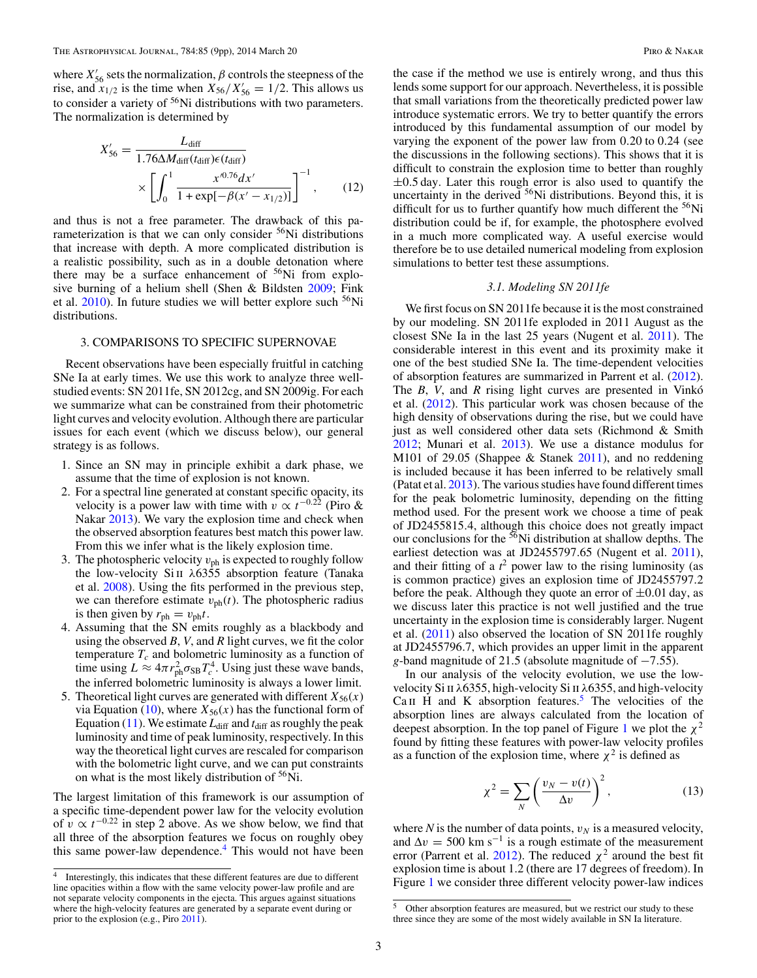<span id="page-2-0"></span>where  $X'_{56}$  sets the normalization,  $\beta$  controls the steepness of the rise, and  $x_{1/2}$  is the time when  $X_{56}/X'_{56} = 1/2$ . This allows us to consider a variety of 56Ni distributions with two parameters. The normalization is determined by

$$
X'_{56} = \frac{L_{\text{diff}}}{1.76 \Delta M_{\text{diff}}(t_{\text{diff}}) \epsilon(t_{\text{diff}})} \times \left[ \int_0^1 \frac{x'^{0.76} dx'}{1 + \exp[-\beta(x' - x_{1/2})]} \right]^{-1}, \qquad (12)
$$

and thus is not a free parameter. The drawback of this parameterization is that we can only consider  $56$ Ni distributions that increase with depth. A more complicated distribution is a realistic possibility, such as in a double detonation where there may be a surface enhancement of  $56Ni$  from explosive burning of a helium shell (Shen & Bildsten [2009;](#page-8-0) Fink et al.  $2010$ ). In future studies we will better explore such  $56Ni$ distributions.

### 3. COMPARISONS TO SPECIFIC SUPERNOVAE

Recent observations have been especially fruitful in catching SNe Ia at early times. We use this work to analyze three wellstudied events: SN 2011fe, SN 2012cg, and SN 2009ig. For each we summarize what can be constrained from their photometric light curves and velocity evolution. Although there are particular issues for each event (which we discuss below), our general strategy is as follows.

- 1. Since an SN may in principle exhibit a dark phase, we assume that the time of explosion is not known.
- 2. For a spectral line generated at constant specific opacity, its velocity is a power law with time with  $v \propto t^{-0.22}$  (Piro & Nakar [2013\)](#page-8-0). We vary the explosion time and check when the observed absorption features best match this power law. From this we infer what is the likely explosion time.
- 3. The photospheric velocity  $v_{ph}$  is expected to roughly follow the low-velocity Si ii *λ*6355 absorption feature (Tanaka et al. [2008\)](#page-8-0). Using the fits performed in the previous step, we can therefore estimate  $v_{ph}(t)$ . The photospheric radius is then given by  $r_{ph} = v_{ph}t$ .
- 4. Assuming that the SN emits roughly as a blackbody and using the observed *B*, *V*, and *R* light curves, we fit the color temperature  $T_c$  and bolometric luminosity as a function of time using  $L \approx 4\pi r_{ph}^2 \sigma_{SB} T_c^4$ . Using just these wave bands, the inferred bolometric luminosity is always a lower limit.
- 5. Theoretical light curves are generated with different  $X_{56}(x)$ via Equation [\(10\)](#page-1-0), where  $X_{56}(x)$  has the functional form of Equation [\(11\)](#page-1-0). We estimate  $L_{diff}$  and  $t_{diff}$  as roughly the peak luminosity and time of peak luminosity, respectively. In this way the theoretical light curves are rescaled for comparison with the bolometric light curve, and we can put constraints on what is the most likely distribution of <sup>56</sup>Ni.

The largest limitation of this framework is our assumption of a specific time-dependent power law for the velocity evolution of  $v \propto t^{-0.22}$  in step 2 above. As we show below, we find that all three of the absorption features we focus on roughly obey this same power-law dependence.<sup>4</sup> This would not have been the case if the method we use is entirely wrong, and thus this lends some support for our approach. Nevertheless, it is possible that small variations from the theoretically predicted power law introduce systematic errors. We try to better quantify the errors introduced by this fundamental assumption of our model by varying the exponent of the power law from 0*.*20 to 0*.*24 (see the discussions in the following sections). This shows that it is difficult to constrain the explosion time to better than roughly ±0*.*5 day. Later this rough error is also used to quantify the uncertainty in the derived  $56$ Ni distributions. Beyond this, it is difficult for us to further quantify how much different the  $56Ni$ distribution could be if, for example, the photosphere evolved in a much more complicated way. A useful exercise would therefore be to use detailed numerical modeling from explosion simulations to better test these assumptions.

## *3.1. Modeling SN 2011fe*

We first focus on SN 2011fe because it is the most constrained by our modeling. SN 2011fe exploded in 2011 August as the closest SNe Ia in the last 25 years (Nugent et al. [2011\)](#page-8-0). The considerable interest in this event and its proximity make it one of the best studied SNe Ia. The time-dependent velocities of absorption features are summarized in Parrent et al. [\(2012\)](#page-8-0). The *B*, *V*, and *R* rising light curves are presented in Vinko et al. [\(2012\)](#page-8-0). This particular work was chosen because of the high density of observations during the rise, but we could have just as well considered other data sets (Richmond & Smith [2012;](#page-8-0) Munari et al. [2013\)](#page-8-0). We use a distance modulus for M101 of 29*.*05 (Shappee & Stanek [2011\)](#page-8-0), and no reddening is included because it has been inferred to be relatively small (Patat et al. [2013\)](#page-8-0). The various studies have found different times for the peak bolometric luminosity, depending on the fitting method used. For the present work we choose a time of peak of JD2455815*.*4, although this choice does not greatly impact our conclusions for the <sup>56</sup>Ni distribution at shallow depths. The earliest detection was at JD2455797*.*65 (Nugent et al. [2011\)](#page-8-0), and their fitting of a  $t^2$  power law to the rising luminosity (as is common practice) gives an explosion time of JD2455797*.*2 before the peak. Although they quote an error of  $\pm 0.01$  day, as we discuss later this practice is not well justified and the true uncertainty in the explosion time is considerably larger. Nugent et al. [\(2011\)](#page-8-0) also observed the location of SN 2011fe roughly at JD2455796*.*7, which provides an upper limit in the apparent *g*-band magnitude of 21*.*5 (absolute magnitude of −7*.*55).

In our analysis of the velocity evolution, we use the lowvelocity Si ii *λ*6355, high-velocity Si ii *λ*6355, and high-velocity Ca II H and K absorption features.<sup>5</sup> The velocities of the absorption lines are always calculated from the location of deepest absorption. In the top panel of Figure [1](#page-3-0) we plot the  $\chi^2$ found by fitting these features with power-law velocity profiles as a function of the explosion time, where  $\chi^2$  is defined as

$$
\chi^2 = \sum_{N} \left( \frac{v_N - v(t)}{\Delta v} \right)^2,\tag{13}
$$

where  $N$  is the number of data points,  $v_N$  is a measured velocity, and  $\Delta v = 500$  km s<sup>-1</sup> is a rough estimate of the measurement error (Parrent et al. [2012\)](#page-8-0). The reduced  $\chi^2$  around the best fit explosion time is about 1.2 (there are 17 degrees of freedom). In Figure [1](#page-3-0) we consider three different velocity power-law indices

<sup>&</sup>lt;sup>4</sup> Interestingly, this indicates that these different features are due to different line opacities within a flow with the same velocity power-law profile and are not separate velocity components in the ejecta. This argues against situations where the high-velocity features are generated by a separate event during or prior to the explosion (e.g., Piro [2011\)](#page-8-0).

<sup>5</sup> Other absorption features are measured, but we restrict our study to these three since they are some of the most widely available in SN Ia literature.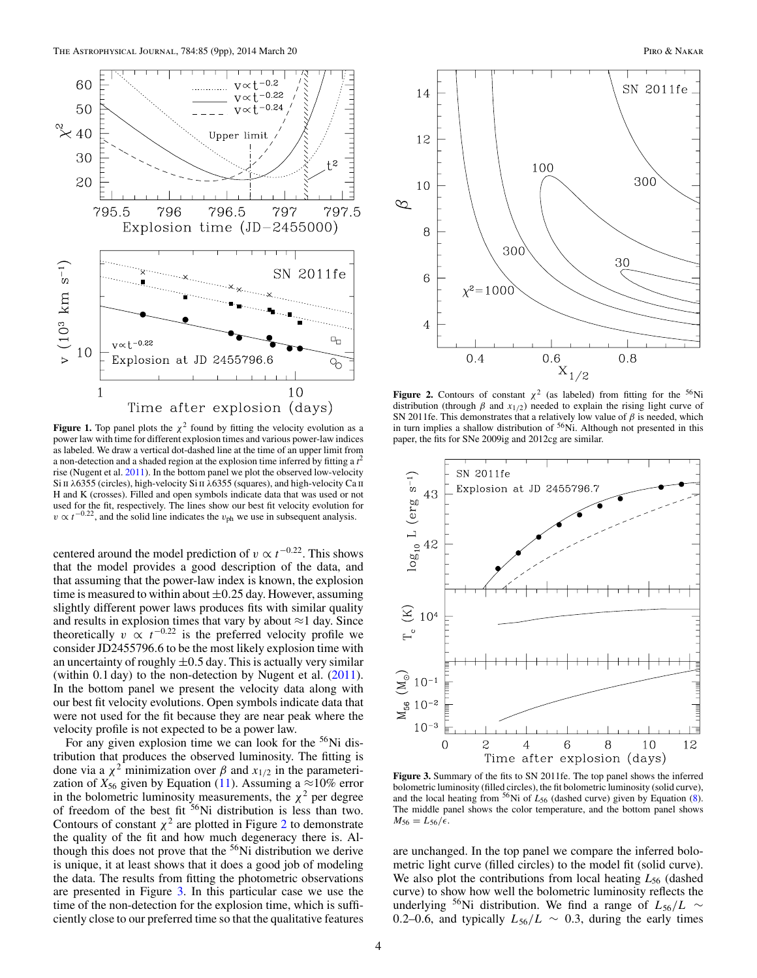<span id="page-3-0"></span>

**Figure 1.** Top panel plots the  $\chi^2$  found by fitting the velocity evolution as a power law with time for different explosion times and various power-law indices as labeled. We draw a vertical dot-dashed line at the time of an upper limit from a non-detection and a shaded region at the explosion time inferred by fitting a *t* 2 rise (Nugent et al. [2011\)](#page-8-0). In the bottom panel we plot the observed low-velocity Si II  $λ6355$  (circles), high-velocity Si II  $λ6355$  (squares), and high-velocity Ca II H and K (crosses). Filled and open symbols indicate data that was used or not used for the fit, respectively. The lines show our best fit velocity evolution for  $v \propto t^{-0.22}$ , and the solid line indicates the *v*<sub>ph</sub> we use in subsequent analysis.

centered around the model prediction of  $v \propto t^{-0.22}$ . This shows that the model provides a good description of the data, and that assuming that the power-law index is known, the explosion time is measured to within about ±0*.*25 day. However, assuming slightly different power laws produces fits with similar quality and results in explosion times that vary by about  $\approx$  1 day. Since theoretically  $v \propto t^{-0.22}$  is the preferred velocity profile we consider JD2455796*.*6 to be the most likely explosion time with an uncertainty of roughly  $\pm 0.5$  day. This is actually very similar (within 0.1 day) to the non-detection by Nugent et al. [\(2011\)](#page-8-0). In the bottom panel we present the velocity data along with our best fit velocity evolutions. Open symbols indicate data that were not used for the fit because they are near peak where the velocity profile is not expected to be a power law.

For any given explosion time we can look for the  $56$ Ni distribution that produces the observed luminosity. The fitting is done via a *χ*<sup>2</sup> minimization over *β* and *x*1*/*<sup>2</sup> in the parameterization of  $X_{56}$  given by Equation [\(11\)](#page-1-0). Assuming a  $\approx$ 10% error in the bolometric luminosity measurements, the  $\chi^2$  per degree of freedom of the best fit  $56$ Ni distribution is less than two. Contours of constant  $\chi^2$  are plotted in Figure 2 to demonstrate the quality of the fit and how much degeneracy there is. Although this does not prove that the  $56$ Ni distribution we derive is unique, it at least shows that it does a good job of modeling the data. The results from fitting the photometric observations are presented in Figure 3. In this particular case we use the time of the non-detection for the explosion time, which is sufficiently close to our preferred time so that the qualitative features



**Figure 2.** Contours of constant  $\chi^2$  (as labeled) from fitting for the <sup>56</sup>Ni distribution (through  $\beta$  and  $x_{1/2}$ ) needed to explain the rising light curve of SN 2011fe. This demonstrates that a relatively low value of *β* is needed, which in turn implies a shallow distribution of  $56$ Ni. Although not presented in this paper, the fits for SNe 2009ig and 2012cg are similar.



**Figure 3.** Summary of the fits to SN 2011fe. The top panel shows the inferred bolometric luminosity (filled circles), the fit bolometric luminosity (solid curve), and the local heating from  $56$ Ni of  $L_{56}$  (dashed curve) given by Equation [\(8\)](#page-1-0). The middle panel shows the color temperature, and the bottom panel shows  $M_{56} = L_{56}/\epsilon$ .

are unchanged. In the top panel we compare the inferred bolometric light curve (filled circles) to the model fit (solid curve). We also plot the contributions from local heating  $L_{56}$  (dashed curve) to show how well the bolometric luminosity reflects the underlying <sup>56</sup>Ni distribution. We find a range of  $L_{56}/L \sim$ 0.2–0.6, and typically  $L_{56}/L \sim 0.3$ , during the early times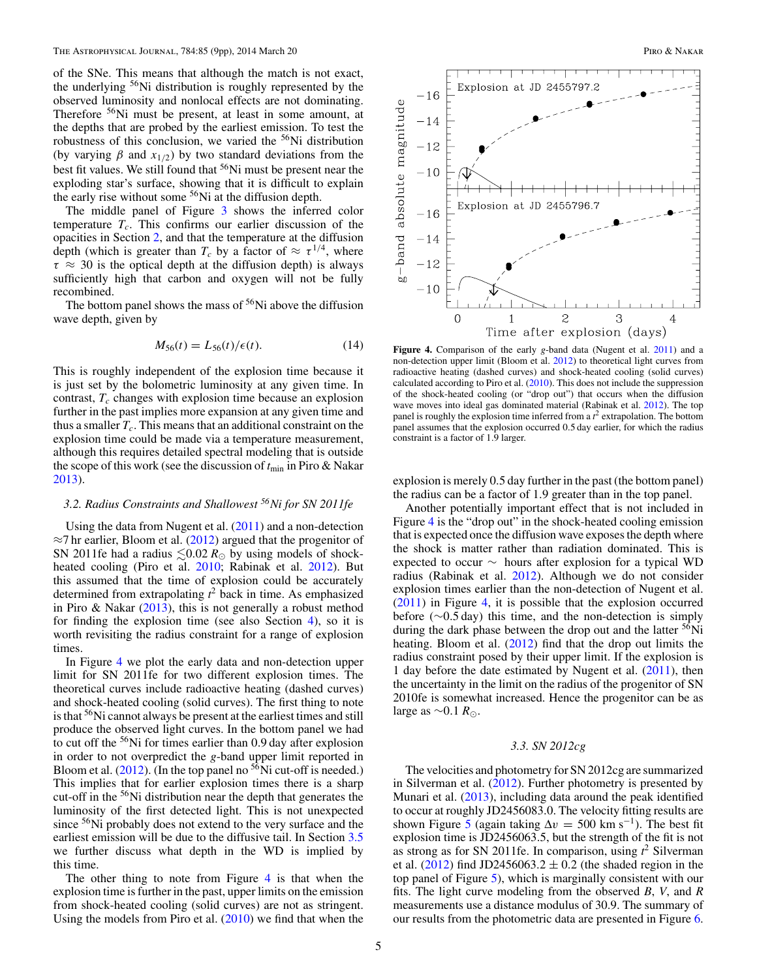<span id="page-4-0"></span>of the SNe. This means that although the match is not exact, the underlying 56Ni distribution is roughly represented by the observed luminosity and nonlocal effects are not dominating. Therefore 56Ni must be present, at least in some amount, at the depths that are probed by the earliest emission. To test the robustness of this conclusion, we varied the <sup>56</sup>Ni distribution (by varying  $\beta$  and  $x_{1/2}$ ) by two standard deviations from the best fit values. We still found that <sup>56</sup>Ni must be present near the exploding star's surface, showing that it is difficult to explain the early rise without some 56Ni at the diffusion depth.

The middle panel of Figure [3](#page-3-0) shows the inferred color temperature  $T_c$ . This confirms our earlier discussion of the opacities in Section [2,](#page-0-0) and that the temperature at the diffusion depth (which is greater than  $T_c$  by a factor of  $\approx \tau^{1/4}$ , where  $\tau \approx 30$  is the optical depth at the diffusion depth) is always sufficiently high that carbon and oxygen will not be fully recombined.

The bottom panel shows the mass of  $56$ Ni above the diffusion wave depth, given by

$$
M_{56}(t) = L_{56}(t) / \epsilon(t). \tag{14}
$$

This is roughly independent of the explosion time because it is just set by the bolometric luminosity at any given time. In contrast,  $T_c$  changes with explosion time because an explosion further in the past implies more expansion at any given time and thus a smaller  $T_c$ . This means that an additional constraint on the explosion time could be made via a temperature measurement, although this requires detailed spectral modeling that is outside the scope of this work (see the discussion of  $t_{\text{min}}$  in Piro & Nakar [2013\)](#page-8-0).

## *3.2. Radius Constraints and Shallowest 56Ni for SN 2011fe*

Using the data from Nugent et al. [\(2011\)](#page-8-0) and a non-detection  $\approx$ 7 hr earlier, Bloom et al. [\(2012\)](#page-8-0) argued that the progenitor of SN 2011fe had a radius  $\leq 0.02 R_{\odot}$  by using models of shockheated cooling (Piro et al. [2010;](#page-8-0) Rabinak et al. [2012\)](#page-8-0). But this assumed that the time of explosion could be accurately determined from extrapolating  $t^2$  back in time. As emphasized in Piro & Nakar [\(2013\)](#page-8-0), this is not generally a robust method for finding the explosion time (see also Section [4\)](#page-7-0), so it is worth revisiting the radius constraint for a range of explosion times.

In Figure 4 we plot the early data and non-detection upper limit for SN 2011fe for two different explosion times. The theoretical curves include radioactive heating (dashed curves) and shock-heated cooling (solid curves). The first thing to note is that <sup>56</sup>Ni cannot always be present at the earliest times and still produce the observed light curves. In the bottom panel we had to cut off the 56Ni for times earlier than 0*.*9 day after explosion in order to not overpredict the *g*-band upper limit reported in Bloom et al.  $(2012)$ . (In the top panel no <sup>56</sup>Ni cut-off is needed.) This implies that for earlier explosion times there is a sharp cut-off in the 56Ni distribution near the depth that generates the luminosity of the first detected light. This is not unexpected since <sup>56</sup>Ni probably does not extend to the very surface and the earliest emission will be due to the diffusive tail. In Section [3.5](#page-5-0) we further discuss what depth in the WD is implied by this time.

The other thing to note from Figure  $4$  is that when the explosion time is further in the past, upper limits on the emission from shock-heated cooling (solid curves) are not as stringent. Using the models from Piro et al.  $(2010)$  we find that when the



**Figure 4.** Comparison of the early *g*-band data (Nugent et al. [2011\)](#page-8-0) and a non-detection upper limit (Bloom et al. [2012\)](#page-8-0) to theoretical light curves from radioactive heating (dashed curves) and shock-heated cooling (solid curves) calculated according to Piro et al.  $(2010)$ . This does not include the suppression of the shock-heated cooling (or "drop out") that occurs when the diffusion wave moves into ideal gas dominated material (Rabinak et al. [2012\)](#page-8-0). The top panel is roughly the explosion time inferred from a *t* <sup>2</sup> extrapolation. The bottom panel assumes that the explosion occurred 0*.*5 day earlier, for which the radius constraint is a factor of 1*.*9 larger.

explosion is merely 0*.*5 day further in the past (the bottom panel) the radius can be a factor of 1*.*9 greater than in the top panel.

Another potentially important effect that is not included in Figure 4 is the "drop out" in the shock-heated cooling emission that is expected once the diffusion wave exposes the depth where the shock is matter rather than radiation dominated. This is expected to occur ∼ hours after explosion for a typical WD radius (Rabinak et al. [2012\)](#page-8-0). Although we do not consider explosion times earlier than the non-detection of Nugent et al. [\(2011\)](#page-8-0) in Figure 4, it is possible that the explosion occurred before (∼0*.*5 day) this time, and the non-detection is simply during the dark phase between the drop out and the latter <sup>56</sup>Ni heating. Bloom et al. [\(2012\)](#page-8-0) find that the drop out limits the radius constraint posed by their upper limit. If the explosion is 1 day before the date estimated by Nugent et al. [\(2011\)](#page-8-0), then the uncertainty in the limit on the radius of the progenitor of SN 2010fe is somewhat increased. Hence the progenitor can be as large as ∼0*.*1 *R*.

### *3.3. SN 2012cg*

The velocities and photometry for SN 2012cg are summarized in Silverman et al. [\(2012\)](#page-8-0). Further photometry is presented by Munari et al. [\(2013\)](#page-8-0), including data around the peak identified to occur at roughly JD2456083*.*0. The velocity fitting results are shown Figure [5](#page-5-0) (again taking  $\Delta v = 500 \text{ km s}^{-1}$ ). The best fit explosion time is JD2456063*.*5, but the strength of the fit is not as strong as for SN 2011fe. In comparison, using *t* <sup>2</sup> Silverman et al.  $(2012)$  find JD2456063.2  $\pm$  0.2 (the shaded region in the top panel of Figure [5\)](#page-5-0), which is marginally consistent with our fits. The light curve modeling from the observed *B*, *V*, and *R* measurements use a distance modulus of 30.9. The summary of our results from the photometric data are presented in Figure [6.](#page-5-0)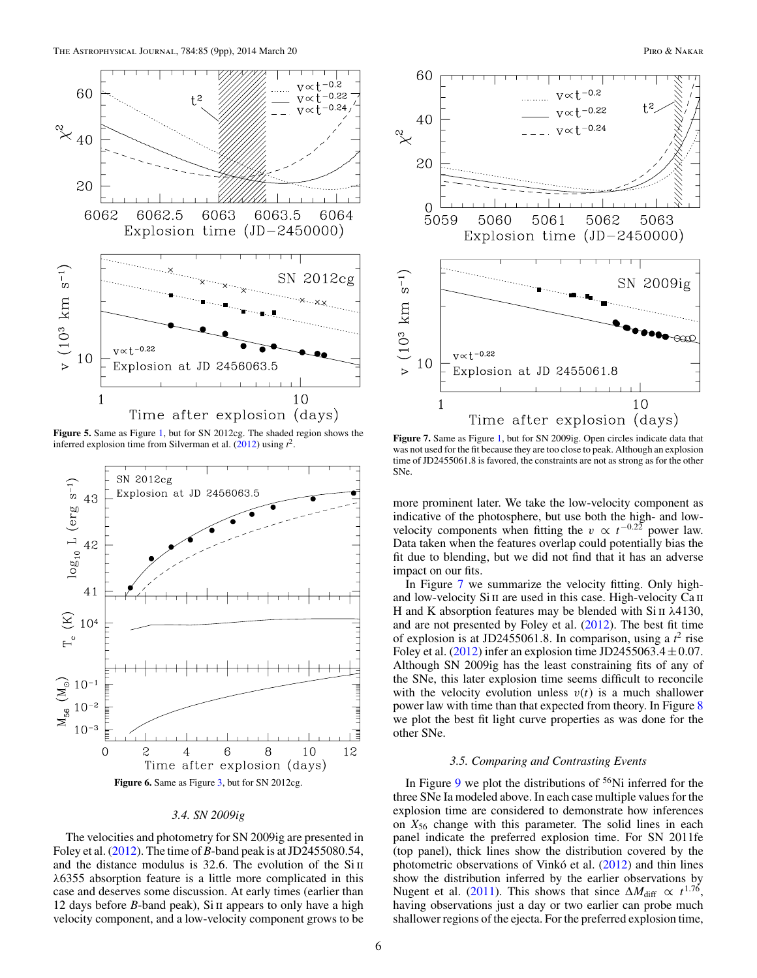<span id="page-5-0"></span>

**Figure 5.** Same as Figure [1,](#page-3-0) but for SN 2012cg. The shaded region shows the inferred explosion time from Silverman et al.  $(2012)$  using  $t^2$ .



## *3.4. SN 2009ig*

The velocities and photometry for SN 2009ig are presented in Foley et al. [\(2012\)](#page-8-0). The time of *B*-band peak is at JD2455080*.*54, and the distance modulus is 32.6. The evolution of the Si II *λ*6355 absorption feature is a little more complicated in this case and deserves some discussion. At early times (earlier than 12 days before *B*-band peak), Si ii appears to only have a high velocity component, and a low-velocity component grows to be



**Figure 7.** Same as Figure [1,](#page-3-0) but for SN 2009ig. Open circles indicate data that was not used for the fit because they are too close to peak. Although an explosion time of JD2455061*.*8 is favored, the constraints are not as strong as for the other SNe.

more prominent later. We take the low-velocity component as indicative of the photosphere, but use both the high- and lowvelocity components when fitting the  $v \propto t^{-0.22}$  power law. Data taken when the features overlap could potentially bias the fit due to blending, but we did not find that it has an adverse impact on our fits.

In Figure 7 we summarize the velocity fitting. Only highand low-velocity Si II are used in this case. High-velocity Ca II H and K absorption features may be blended with Si ii *λ*4130, and are not presented by Foley et al. [\(2012\)](#page-8-0). The best fit time of explosion is at JD2455061*.*8. In comparison, using a *t* <sup>2</sup> rise Foley et al.  $(2012)$  infer an explosion time JD2455063.4  $\pm$  0.07. Although SN 2009ig has the least constraining fits of any of the SNe, this later explosion time seems difficult to reconcile with the velocity evolution unless  $v(t)$  is a much shallower power law with time than that expected from theory. In Figure [8](#page-6-0) we plot the best fit light curve properties as was done for the other SNe.

## *3.5. Comparing and Contrasting Events*

In Figure [9](#page-6-0) we plot the distributions of  $56$ Ni inferred for the three SNe Ia modeled above. In each case multiple values for the explosion time are considered to demonstrate how inferences on  $X_{56}$  change with this parameter. The solid lines in each panel indicate the preferred explosion time. For SN 2011fe (top panel), thick lines show the distribution covered by the photometric observations of Vinkó et al. ([2012\)](#page-8-0) and thin lines show the distribution inferred by the earlier observations by Nugent et al. [\(2011\)](#page-8-0). This shows that since  $\Delta M_{\text{diff}} \propto t^{1.76}$ , having observations just a day or two earlier can probe much shallower regions of the ejecta. For the preferred explosion time,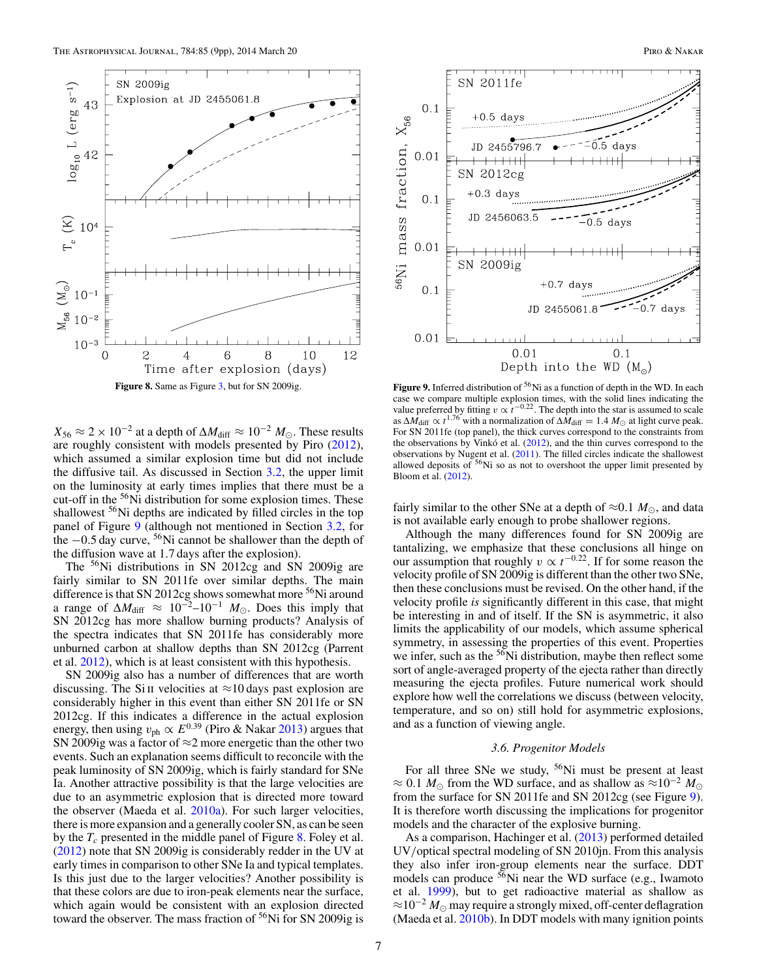<span id="page-6-0"></span>

 $X_{56} \approx 2 \times 10^{-2}$  at a depth of  $\Delta M_{\text{diff}} \approx 10^{-2} M_{\odot}$ . These results are roughly consistent with models presented by Piro [\(2012\)](#page-8-0), which assumed a similar explosion time but did not include the diffusive tail. As discussed in Section  $3.2$ , the upper limit on the luminosity at early times implies that there must be a cut-off in the <sup>56</sup>Ni distribution for some explosion times. These shallowest <sup>56</sup>Ni depths are indicated by filled circles in the top panel of Figure 9 (although not mentioned in Section [3.2,](#page-4-0) for the <sup>−</sup>0*.*5 day curve, 56Ni cannot be shallower than the depth of the diffusion wave at 1*.*7 days after the explosion).

The <sup>56</sup>Ni distributions in SN 2012cg and SN 2009ig are fairly similar to SN 2011fe over similar depths. The main difference is that SN 2012cg shows somewhat more <sup>56</sup>Ni around a range of  $\Delta M_{\text{diff}} \approx 10^{-2} - 10^{-1} M_{\odot}$ . Does this imply that SN 2012cg has more shallow burning products? Analysis of the spectra indicates that SN 2011fe has considerably more unburned carbon at shallow depths than SN 2012cg (Parrent et al. [2012\)](#page-8-0), which is at least consistent with this hypothesis.

SN 2009ig also has a number of differences that are worth discussing. The Si II velocities at  $\approx$ 10 days past explosion are considerably higher in this event than either SN 2011fe or SN 2012cg. If this indicates a difference in the actual explosion energy, then using  $v_{\rm ph} \propto E^{0.39}$  (Piro & Nakar [2013\)](#page-8-0) argues that SN 2009ig was a factor of  $\approx$  2 more energetic than the other two events. Such an explanation seems difficult to reconcile with the peak luminosity of SN 2009ig, which is fairly standard for SNe Ia. Another attractive possibility is that the large velocities are due to an asymmetric explosion that is directed more toward the observer (Maeda et al. [2010a\)](#page-8-0). For such larger velocities, there is more expansion and a generally cooler SN, as can be seen by the  $T_c$  presented in the middle panel of Figure 8. Foley et al. [\(2012\)](#page-8-0) note that SN 2009ig is considerably redder in the UV at early times in comparison to other SNe Ia and typical templates. Is this just due to the larger velocities? Another possibility is that these colors are due to iron-peak elements near the surface, which again would be consistent with an explosion directed toward the observer. The mass fraction of  $56$ Ni for SN 2009ig is



Figure 9. Inferred distribution of <sup>56</sup>Ni as a function of depth in the WD. In each case we compare multiple explosion times, with the solid lines indicating the value preferred by fitting *v* ∝ *t*<sup>−0.22</sup>. The depth into the star is assumed to scale as  $\Delta M_{\text{diff}} \propto t^{1.76}$  with a normalization of  $\Delta M_{\text{diff}} = 1.4 M_{\odot}$  at light curve peak. For SN 2011fe (top panel), the thick curves correspond to the constraints from the observations by Vinkó et al.  $(2012)$  $(2012)$ , and the thin curves correspond to the observations by Nugent et al. [\(2011\)](#page-8-0). The filled circles indicate the shallowest allowed deposits of  $56$ Ni so as not to overshoot the upper limit presented by Bloom et al. [\(2012\)](#page-8-0).

fairly similar to the other SNe at a depth of  $\approx 0.1 M_{\odot}$ , and data is not available early enough to probe shallower regions.

Although the many differences found for SN 2009ig are tantalizing, we emphasize that these conclusions all hinge on our assumption that roughly  $v \propto t^{-0.22}$ . If for some reason the velocity profile of SN 2009ig is different than the other two SNe, then these conclusions must be revised. On the other hand, if the velocity profile *is* significantly different in this case, that might be interesting in and of itself. If the SN is asymmetric, it also limits the applicability of our models, which assume spherical symmetry, in assessing the properties of this event. Properties we infer, such as the <sup>56</sup>Ni distribution, maybe then reflect some sort of angle-averaged property of the ejecta rather than directly measuring the ejecta profiles. Future numerical work should explore how well the correlations we discuss (between velocity, temperature, and so on) still hold for asymmetric explosions, and as a function of viewing angle.

### *3.6. Progenitor Models*

For all three SNe we study, 56Ni must be present at least  $\approx$  0.1 *M*<sub>☉</sub> from the WD surface, and as shallow as  $\approx$ 10<sup>-2</sup> *M*<sub>☉</sub> from the surface for SN 2011fe and SN 2012cg (see Figure 9). It is therefore worth discussing the implications for progenitor models and the character of the explosive burning.

As a comparison, Hachinger et al. [\(2013\)](#page-8-0) performed detailed UV*/*optical spectral modeling of SN 2010jn. From this analysis they also infer iron-group elements near the surface. DDT models can produce  $56$ Ni near the WD surface (e.g., Iwamoto et al. [1999\)](#page-8-0), but to get radioactive material as shallow as  $\approx 10^{-2} M_{\odot}$  may require a strongly mixed, off-center deflagration (Maeda et al.  $2010<sub>b</sub>$ ). In DDT models with many ignition points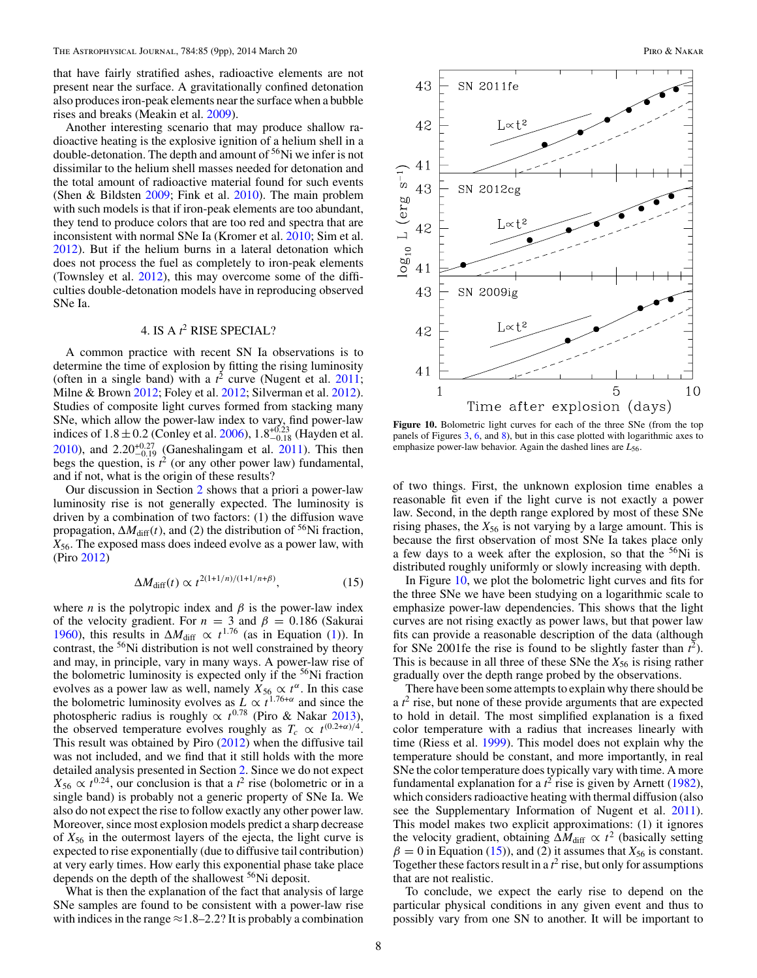<span id="page-7-0"></span>that have fairly stratified ashes, radioactive elements are not present near the surface. A gravitationally confined detonation also produces iron-peak elements near the surface when a bubble rises and breaks (Meakin et al. [2009\)](#page-8-0).

Another interesting scenario that may produce shallow radioactive heating is the explosive ignition of a helium shell in a double-detonation. The depth and amount of  $56$ Ni we infer is not dissimilar to the helium shell masses needed for detonation and the total amount of radioactive material found for such events (Shen & Bildsten [2009;](#page-8-0) Fink et al. [2010\)](#page-8-0). The main problem with such models is that if iron-peak elements are too abundant, they tend to produce colors that are too red and spectra that are inconsistent with normal SNe Ia (Kromer et al. [2010;](#page-8-0) Sim et al. [2012\)](#page-8-0). But if the helium burns in a lateral detonation which does not process the fuel as completely to iron-peak elements (Townsley et al. [2012\)](#page-8-0), this may overcome some of the difficulties double-detonation models have in reproducing observed SNe Ia.

## 4. IS A *t* <sup>2</sup> RISE SPECIAL?

A common practice with recent SN Ia observations is to determine the time of explosion by fitting the rising luminosity (often in a single band) with a  $t^2$  curve (Nugent et al. [2011;](#page-8-0) Milne & Brown [2012;](#page-8-0) Foley et al. [2012;](#page-8-0) Silverman et al. [2012\)](#page-8-0). Studies of composite light curves formed from stacking many SNe, which allow the power-law index to vary, find power-law indices of  $1.8 \pm 0.2$  (Conley et al. [2006\)](#page-8-0),  $1.8^{+0.23}_{-0.18}$  (Hayden et al. [2010\)](#page-8-0), and  $2.20^{+0.27}_{-0.19}$  (Ganeshalingam et al. [2011\)](#page-8-0). This then begs the question, is  $t^2$  (or any other power law) fundamental, and if not, what is the origin of these results?

Our discussion in Section [2](#page-0-0) shows that a priori a power-law luminosity rise is not generally expected. The luminosity is driven by a combination of two factors: (1) the diffusion wave propagation,  $\Delta M_{\text{diff}}(t)$ , and (2) the distribution of <sup>56</sup>Ni fraction, *X*56. The exposed mass does indeed evolve as a power law, with (Piro [2012\)](#page-8-0)

$$
\Delta M_{\text{diff}}(t) \propto t^{2(1+1/n)/(1+1/n+\beta)},\tag{15}
$$

where *n* is the polytropic index and  $\beta$  is the power-law index of the velocity gradient. For  $n = 3$  and  $\beta = 0.186$  (Sakurai) [1960\)](#page-8-0), this results in  $\Delta M_{\text{diff}} \propto t^{1.76}$  (as in Equation [\(1\)](#page-1-0)). In contrast, the <sup>56</sup>Ni distribution is not well constrained by theory and may, in principle, vary in many ways. A power-law rise of the bolometric luminosity is expected only if the  $56$ Ni fraction evolves as a power law as well, namely  $X_{56} \propto t^{\alpha}$ . In this case the bolometric luminosity evolves as  $\frac{L}{2} \propto t^{1.76+\alpha}$  and since the photospheric radius is roughly  $\propto t^{0.78}$  (Piro & Nakar [2013\)](#page-8-0), the observed temperature evolves roughly as  $T_c \propto t^{(0.2+\alpha)/4}$ . This result was obtained by Piro [\(2012\)](#page-8-0) when the diffusive tail was not included, and we find that it still holds with the more detailed analysis presented in Section [2.](#page-0-0) Since we do not expect  $X_{56} \propto t^{0.24}$ , our conclusion is that a  $t^2$  rise (bolometric or in a single band) is probably not a generic property of SNe Ia. We also do not expect the rise to follow exactly any other power law. Moreover, since most explosion models predict a sharp decrease of *X*<sup>56</sup> in the outermost layers of the ejecta, the light curve is expected to rise exponentially (due to diffusive tail contribution) at very early times. How early this exponential phase take place depends on the depth of the shallowest <sup>56</sup>Ni deposit.

What is then the explanation of the fact that analysis of large SNe samples are found to be consistent with a power-law rise with indices in the range  $\approx$  1.8–2.2? It is probably a combination



Figure 10. Bolometric light curves for each of the three SNe (from the top panels of Figures [3,](#page-3-0) [6,](#page-5-0) and [8\)](#page-6-0), but in this case plotted with logarithmic axes to emphasize power-law behavior. Again the dashed lines are  $L_{56}$ .

of two things. First, the unknown explosion time enables a reasonable fit even if the light curve is not exactly a power law. Second, in the depth range explored by most of these SNe rising phases, the  $X_{56}$  is not varying by a large amount. This is because the first observation of most SNe Ia takes place only a few days to a week after the explosion, so that the <sup>56</sup>Ni is distributed roughly uniformly or slowly increasing with depth.

In Figure 10, we plot the bolometric light curves and fits for the three SNe we have been studying on a logarithmic scale to emphasize power-law dependencies. This shows that the light curves are not rising exactly as power laws, but that power law fits can provide a reasonable description of the data (although for SNe 2001fe the rise is found to be slightly faster than  $t^2$ ). This is because in all three of these SNe the  $X_{56}$  is rising rather gradually over the depth range probed by the observations.

There have been some attempts to explain why there should be a  $t^2$  rise, but none of these provide arguments that are expected to hold in detail. The most simplified explanation is a fixed color temperature with a radius that increases linearly with time (Riess et al. [1999\)](#page-8-0). This model does not explain why the temperature should be constant, and more importantly, in real SNe the color temperature does typically vary with time. A more fundamental explanation for a  $t^2$  rise is given by Arnett [\(1982\)](#page-8-0), which considers radioactive heating with thermal diffusion (also see the Supplementary Information of Nugent et al. [2011\)](#page-8-0). This model makes two explicit approximations: (1) it ignores the velocity gradient, obtaining  $\Delta M_{\text{diff}} \propto t^2$  (basically setting  $\beta = 0$  in Equation (15)), and (2) it assumes that  $X_{56}$  is constant. Together these factors result in a  $t^2$  rise, but only for assumptions that are not realistic.

To conclude, we expect the early rise to depend on the particular physical conditions in any given event and thus to possibly vary from one SN to another. It will be important to